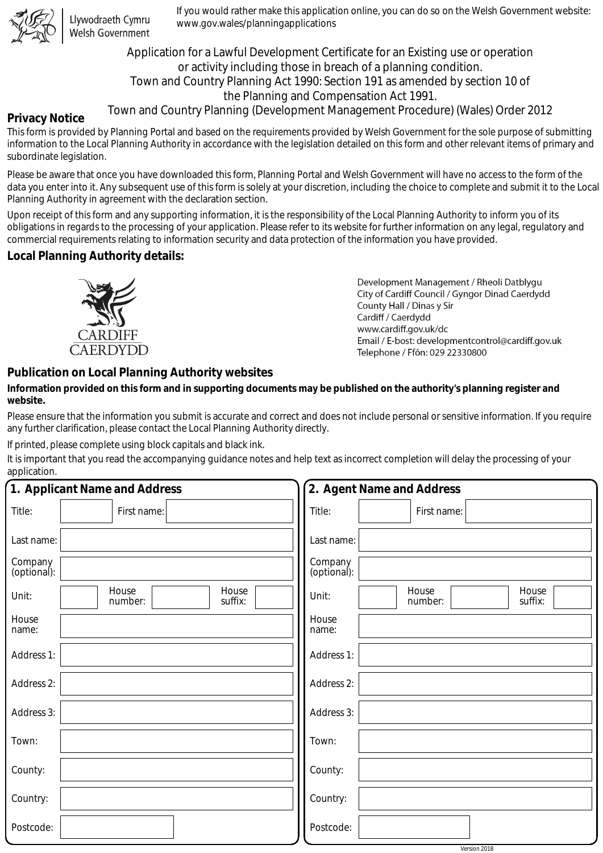

Llywodraeth Cymru Welsh Government

If you would rather make this application online, you can do so on the Welsh Government website: www.gov.wales/planningapplications

Application for a Lawful Development Certificate for an Existing use or operation or activity including those in breach of a planning condition. Town and Country Planning Act 1990: Section 191 as amended by section 10 of the Planning and Compensation Act 1991.

# Town and Country Planning (Development Management Procedure) (Wales) Order 2012

### **Privacy Notice**

This form is provided by Planning Portal and based on the requirements provided by Welsh Government for the sole purpose of submitting information to the Local Planning Authority in accordance with the legislation detailed on this form and other relevant items of primary and subordinate legislation.

Please be aware that once you have downloaded this form, Planning Portal and Welsh Government will have no access to the form of the data you enter into it. Any subsequent use of this form is solely at your discretion, including the choice to complete and submit it to the Local Planning Authority in agreement with the declaration section.

Upon receipt of this form and any supporting information, it is the responsibility of the Local Planning Authority to inform you of its obligations in regards to the processing of your application. Please refer to its website for further information on any legal, regulatory and commercial requirements relating to information security and data protection of the information you have provided.

## **Local Planning Authority details:**



Development Management / Rheoli Datblygu City of Cardiff Council / Gyngor Dinad Caerdydd County Hall / Dinas y Sir Cardiff / Caerdydd www.cardiff.gov.uk/dc Email / E-bost: development control@cardiff.gov.uk Telephone / Ffôn: 029 22330800

## **Publication on Local Planning Authority websites**

## **Information provided on this form and in supporting documents may be published on the authority's planning register and website.**

Please ensure that the information you submit is accurate and correct and does not include personal or sensitive information. If you require any further clarification, please contact the Local Planning Authority directly.

If printed, please complete using block capitals and black ink.

It is important that you read the accompanying guidance notes and help text as incorrect completion will delay the processing of your application.

|                        | 1. Applicant Name and Address        | 2. Agent Name and Address                     |  |  |  |
|------------------------|--------------------------------------|-----------------------------------------------|--|--|--|
| Title:                 | First name:                          | Title:<br>First name:                         |  |  |  |
| Last name:             |                                      | Last name:                                    |  |  |  |
| Company<br>(optional): |                                      | Company<br>(optional):                        |  |  |  |
| Unit:                  | House<br>House<br>suffix:<br>number: | House<br>House<br>Unit:<br>number:<br>suffix: |  |  |  |
| House<br>name:         |                                      | House<br>name:                                |  |  |  |
| Address 1:             |                                      | Address 1:                                    |  |  |  |
| Address 2:             |                                      | Address 2:                                    |  |  |  |
| Address 3:             |                                      | Address 3:                                    |  |  |  |
| Town:                  |                                      | Town:                                         |  |  |  |
| County:                |                                      | County:                                       |  |  |  |
| Country:               |                                      | Country:                                      |  |  |  |
| Postcode:              |                                      | Postcode:                                     |  |  |  |
|                        |                                      | Version 2018                                  |  |  |  |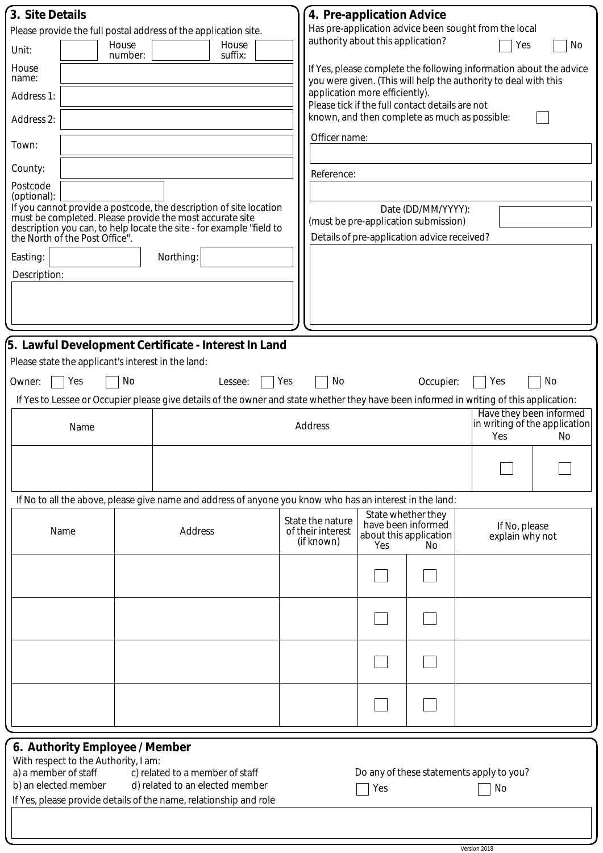| 3. Site Details                                                 |                                                                        |                                                                                                                                                    |     | 4. Pre-application Advice                                                                                                             |     |                                                                                     |                                               |  |
|-----------------------------------------------------------------|------------------------------------------------------------------------|----------------------------------------------------------------------------------------------------------------------------------------------------|-----|---------------------------------------------------------------------------------------------------------------------------------------|-----|-------------------------------------------------------------------------------------|-----------------------------------------------|--|
| Please provide the full postal address of the application site. |                                                                        |                                                                                                                                                    |     | Has pre-application advice been sought from the local<br>authority about this application?                                            |     |                                                                                     |                                               |  |
| Unit:                                                           | House<br>number:                                                       | House<br>suffix:                                                                                                                                   |     |                                                                                                                                       |     |                                                                                     | Yes<br>No                                     |  |
| House<br>name:                                                  |                                                                        |                                                                                                                                                    |     | If Yes, please complete the following information about the advice<br>you were given. (This will help the authority to deal with this |     |                                                                                     |                                               |  |
| Address 1:                                                      |                                                                        |                                                                                                                                                    |     | application more efficiently).                                                                                                        |     | Please tick if the full contact details are not                                     |                                               |  |
| Address 2:                                                      |                                                                        |                                                                                                                                                    |     |                                                                                                                                       |     |                                                                                     | known, and then complete as much as possible: |  |
| Town:                                                           |                                                                        |                                                                                                                                                    |     | Officer name:                                                                                                                         |     |                                                                                     |                                               |  |
| County:                                                         |                                                                        |                                                                                                                                                    |     | Reference:                                                                                                                            |     |                                                                                     |                                               |  |
| Postcode<br>(optional):                                         |                                                                        |                                                                                                                                                    |     |                                                                                                                                       |     |                                                                                     |                                               |  |
|                                                                 |                                                                        | If you cannot provide a postcode, the description of site location<br>must be completed. Please provide the most accurate site                     |     | Date (DD/MM/YYYY):                                                                                                                    |     |                                                                                     |                                               |  |
|                                                                 | the North of the Post Office".                                         | description you can, to help locate the site - for example "field to                                                                               |     |                                                                                                                                       |     | (must be pre-application submission)<br>Details of pre-application advice received? |                                               |  |
| Easting:                                                        |                                                                        | Northing:                                                                                                                                          |     |                                                                                                                                       |     |                                                                                     |                                               |  |
| Description:                                                    |                                                                        |                                                                                                                                                    |     |                                                                                                                                       |     |                                                                                     |                                               |  |
|                                                                 |                                                                        |                                                                                                                                                    |     |                                                                                                                                       |     |                                                                                     |                                               |  |
|                                                                 |                                                                        |                                                                                                                                                    |     |                                                                                                                                       |     |                                                                                     |                                               |  |
|                                                                 |                                                                        |                                                                                                                                                    |     |                                                                                                                                       |     |                                                                                     |                                               |  |
|                                                                 | Please state the applicant's interest in the land:                     | 5. Lawful Development Certificate - Interest In Land                                                                                               |     |                                                                                                                                       |     |                                                                                     |                                               |  |
|                                                                 | Yes<br>No                                                              |                                                                                                                                                    | Yes | No                                                                                                                                    |     |                                                                                     | Yes<br>No                                     |  |
| Owner:                                                          |                                                                        | Lessee:<br>If Yes to Lessee or Occupier please give details of the owner and state whether they have been informed in writing of this application: |     |                                                                                                                                       |     | Occupier:                                                                           |                                               |  |
|                                                                 |                                                                        |                                                                                                                                                    |     |                                                                                                                                       |     |                                                                                     | Have they been informed                       |  |
| Name                                                            |                                                                        |                                                                                                                                                    |     | <b>Address</b>                                                                                                                        |     |                                                                                     | in writing of the application<br>Yes<br>No    |  |
|                                                                 |                                                                        |                                                                                                                                                    |     |                                                                                                                                       |     |                                                                                     |                                               |  |
|                                                                 |                                                                        |                                                                                                                                                    |     |                                                                                                                                       |     |                                                                                     |                                               |  |
|                                                                 |                                                                        | If No to all the above, please give name and address of anyone you know who has an interest in the land:                                           |     |                                                                                                                                       |     |                                                                                     |                                               |  |
|                                                                 |                                                                        |                                                                                                                                                    |     | State the nature                                                                                                                      |     | State whether they                                                                  |                                               |  |
| Name                                                            |                                                                        | Address                                                                                                                                            |     | have been informed<br>of their interest<br>about this application<br>(if known)<br>Yes<br>No.                                         |     | If No, please<br>explain why not                                                    |                                               |  |
|                                                                 |                                                                        |                                                                                                                                                    |     |                                                                                                                                       |     |                                                                                     |                                               |  |
|                                                                 |                                                                        |                                                                                                                                                    |     |                                                                                                                                       |     |                                                                                     |                                               |  |
|                                                                 |                                                                        |                                                                                                                                                    |     |                                                                                                                                       |     |                                                                                     |                                               |  |
|                                                                 |                                                                        |                                                                                                                                                    |     |                                                                                                                                       |     |                                                                                     |                                               |  |
|                                                                 |                                                                        |                                                                                                                                                    |     |                                                                                                                                       |     |                                                                                     |                                               |  |
|                                                                 |                                                                        |                                                                                                                                                    |     |                                                                                                                                       |     |                                                                                     |                                               |  |
|                                                                 |                                                                        |                                                                                                                                                    |     |                                                                                                                                       |     |                                                                                     |                                               |  |
|                                                                 |                                                                        |                                                                                                                                                    |     |                                                                                                                                       |     |                                                                                     |                                               |  |
|                                                                 | 6. Authority Employee / Member<br>With respect to the Authority, I am: |                                                                                                                                                    |     |                                                                                                                                       |     |                                                                                     |                                               |  |
| a) a member of staff                                            |                                                                        | c) related to a member of staff                                                                                                                    |     |                                                                                                                                       |     |                                                                                     | Do any of these statements apply to you?      |  |
| b) an elected member                                            |                                                                        | d) related to an elected member<br>If Yes, please provide details of the name, relationship and role                                               |     |                                                                                                                                       | Yes |                                                                                     | No                                            |  |
|                                                                 |                                                                        |                                                                                                                                                    |     |                                                                                                                                       |     |                                                                                     |                                               |  |
|                                                                 |                                                                        |                                                                                                                                                    |     |                                                                                                                                       |     |                                                                                     |                                               |  |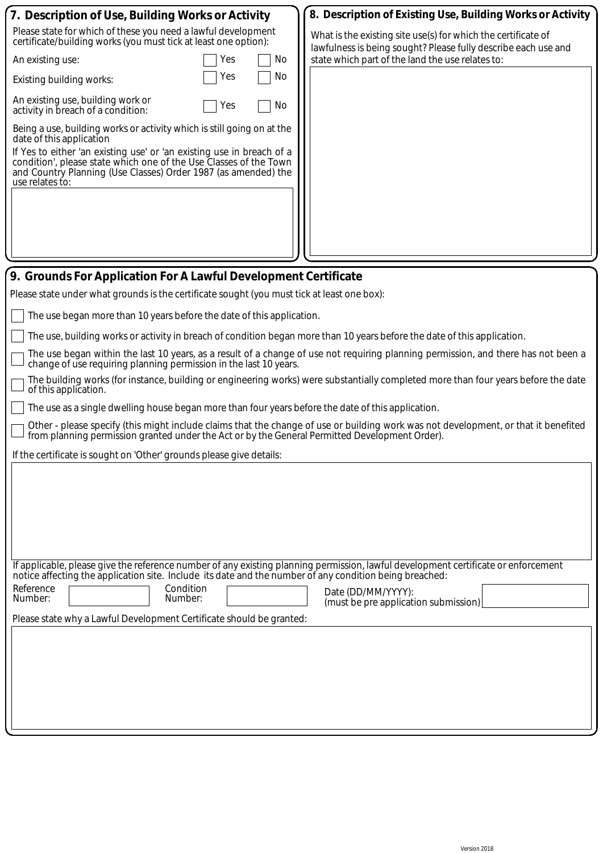|                                                                                                                                                                                                                                       | 7. Description of Use, Building Works or Activity                                                                                                                                                                                                                                                                                     |  | 8. Description of Existing Use, Building Works or Activity                                                                      |  |  |  |
|---------------------------------------------------------------------------------------------------------------------------------------------------------------------------------------------------------------------------------------|---------------------------------------------------------------------------------------------------------------------------------------------------------------------------------------------------------------------------------------------------------------------------------------------------------------------------------------|--|---------------------------------------------------------------------------------------------------------------------------------|--|--|--|
|                                                                                                                                                                                                                                       | Please state for which of these you need a lawful development<br>certificate/building works (you must tick at least one option):                                                                                                                                                                                                      |  | What is the existing site use(s) for which the certificate of<br>lawfulness is being sought? Please fully describe each use and |  |  |  |
|                                                                                                                                                                                                                                       | No.<br>An existing use:<br>Yes                                                                                                                                                                                                                                                                                                        |  | state which part of the land the use relates to:                                                                                |  |  |  |
|                                                                                                                                                                                                                                       | No<br>Yes<br>Existing building works:                                                                                                                                                                                                                                                                                                 |  |                                                                                                                                 |  |  |  |
|                                                                                                                                                                                                                                       | An existing use, building work or<br>No<br>Yes<br>activity in breach of a condition:                                                                                                                                                                                                                                                  |  |                                                                                                                                 |  |  |  |
|                                                                                                                                                                                                                                       | Being a use, building works or activity which is still going on at the<br>date of this application<br>If Yes to either 'an existing use' or 'an existing use in breach of a<br>condition', please state which one of the Use Classes of the Town<br>and Country Planning (Use Classes) Order 1987 (as amended) the<br>use relates to: |  |                                                                                                                                 |  |  |  |
|                                                                                                                                                                                                                                       | 9. Grounds For Application For A Lawful Development Certificate                                                                                                                                                                                                                                                                       |  |                                                                                                                                 |  |  |  |
| Please state under what grounds is the certificate sought (you must tick at least one box):                                                                                                                                           |                                                                                                                                                                                                                                                                                                                                       |  |                                                                                                                                 |  |  |  |
|                                                                                                                                                                                                                                       | The use began more than 10 years before the date of this application.                                                                                                                                                                                                                                                                 |  |                                                                                                                                 |  |  |  |
|                                                                                                                                                                                                                                       | The use, building works or activity in breach of condition began more than 10 years before the date of this application.                                                                                                                                                                                                              |  |                                                                                                                                 |  |  |  |
| The use began within the last 10 years, as a result of a change of use not requiring planning permission, and there has not been a<br>change of use requiring planning permission in the last 10 years.                               |                                                                                                                                                                                                                                                                                                                                       |  |                                                                                                                                 |  |  |  |
|                                                                                                                                                                                                                                       | The building works (for instance, building or engineering works) were substantially completed more than four years before the date<br>of this application.                                                                                                                                                                            |  |                                                                                                                                 |  |  |  |
|                                                                                                                                                                                                                                       | The use as a single dwelling house began more than four years before the date of this application.                                                                                                                                                                                                                                    |  |                                                                                                                                 |  |  |  |
| Other - please specify (this might include claims that the change of use or building work was not development, or that it benefited<br>from planning permission granted under the Act or by the General Permitted Development Order). |                                                                                                                                                                                                                                                                                                                                       |  |                                                                                                                                 |  |  |  |
|                                                                                                                                                                                                                                       | If the certificate is sought on 'Other' grounds please give details:                                                                                                                                                                                                                                                                  |  |                                                                                                                                 |  |  |  |
|                                                                                                                                                                                                                                       |                                                                                                                                                                                                                                                                                                                                       |  |                                                                                                                                 |  |  |  |
|                                                                                                                                                                                                                                       |                                                                                                                                                                                                                                                                                                                                       |  |                                                                                                                                 |  |  |  |
|                                                                                                                                                                                                                                       |                                                                                                                                                                                                                                                                                                                                       |  |                                                                                                                                 |  |  |  |
|                                                                                                                                                                                                                                       |                                                                                                                                                                                                                                                                                                                                       |  |                                                                                                                                 |  |  |  |

| notice affecting the application site. Include its date and the number of any condition being breached: | If applicable, please give the reference number of any existing planning permission, lawful development certificate or enforcement |  |  |  |  |  |
|---------------------------------------------------------------------------------------------------------|------------------------------------------------------------------------------------------------------------------------------------|--|--|--|--|--|
| Reference<br>Condition<br>Number:<br>Number:                                                            | Date (DD/MM/YYYY):<br>(must be pre application submission)                                                                         |  |  |  |  |  |
| Please state why a Lawful Development Certificate should be granted:                                    |                                                                                                                                    |  |  |  |  |  |
|                                                                                                         |                                                                                                                                    |  |  |  |  |  |
|                                                                                                         |                                                                                                                                    |  |  |  |  |  |
|                                                                                                         |                                                                                                                                    |  |  |  |  |  |
|                                                                                                         |                                                                                                                                    |  |  |  |  |  |
|                                                                                                         |                                                                                                                                    |  |  |  |  |  |
|                                                                                                         |                                                                                                                                    |  |  |  |  |  |
|                                                                                                         |                                                                                                                                    |  |  |  |  |  |
|                                                                                                         |                                                                                                                                    |  |  |  |  |  |
|                                                                                                         |                                                                                                                                    |  |  |  |  |  |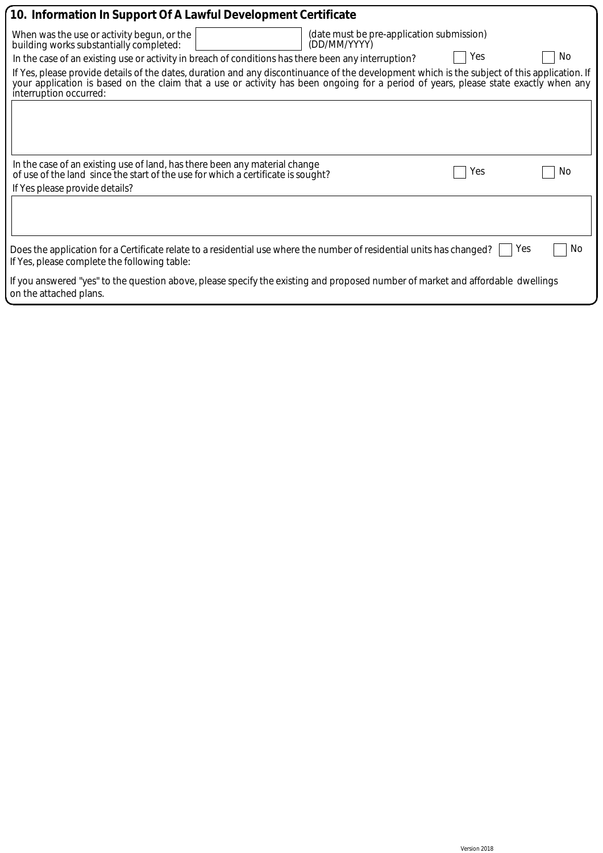| 10. Information In Support Of A Lawful Development Certificate                                                                                                                                                                                                                                                |              |                                           |     |     |  |
|---------------------------------------------------------------------------------------------------------------------------------------------------------------------------------------------------------------------------------------------------------------------------------------------------------------|--------------|-------------------------------------------|-----|-----|--|
| When was the use or activity begun, or the<br>building works substantially completed:                                                                                                                                                                                                                         | (DD/MM/YYYY) | (date must be pre-application submission) |     |     |  |
| In the case of an existing use or activity in breach of conditions has there been any interruption?                                                                                                                                                                                                           |              |                                           | Yes | No. |  |
| If Yes, please provide details of the dates, duration and any discontinuance of the development which is the subject of this application. If<br>your application is based on the claim that a use or activity has been ongoing for a period of years, please state exactly when any<br>interruption occurred: |              |                                           |     |     |  |
|                                                                                                                                                                                                                                                                                                               |              |                                           |     |     |  |
|                                                                                                                                                                                                                                                                                                               |              |                                           |     |     |  |
| In the case of an existing use of land, has there been any material change<br>of use of the land since the start of the use for which a certificate is sought?                                                                                                                                                |              |                                           | Yes | No. |  |
| If Yes please provide details?                                                                                                                                                                                                                                                                                |              |                                           |     |     |  |
|                                                                                                                                                                                                                                                                                                               |              |                                           |     |     |  |
| Does the application for a Certificate relate to a residential use where the number of residential units has changed?<br>If Yes, please complete the following table:                                                                                                                                         |              |                                           | Yes | No. |  |
| If you answered "yes" to the question above, please specify the existing and proposed number of market and affordable dwellings<br>on the attached plans.                                                                                                                                                     |              |                                           |     |     |  |